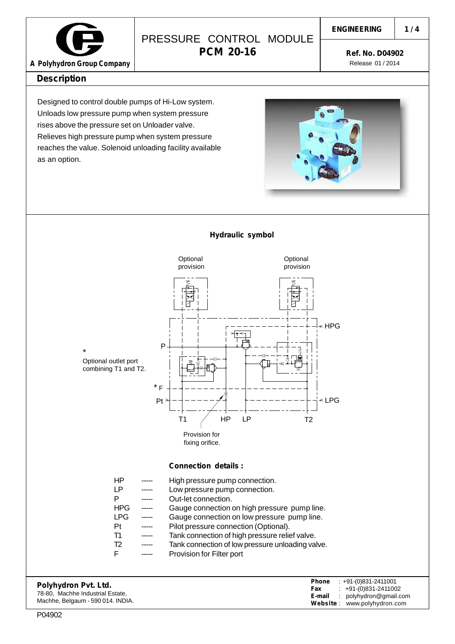

## PRESSURE CONTROL MODULE **PCM 20-16**

**1 / 4**

**Ref. No. D04902** Release 01 / 2014

### **Description**

Designed to control double pumps of Hi-Low system. Unloads low pressure pump when system pressure rises above the pressure set on Unloader valve. Relieves high pressure pump when system pressure reaches the value. Solenoid unloading facility available as an option.

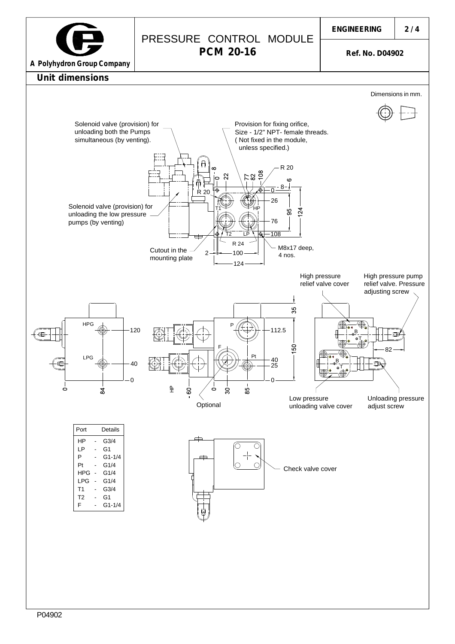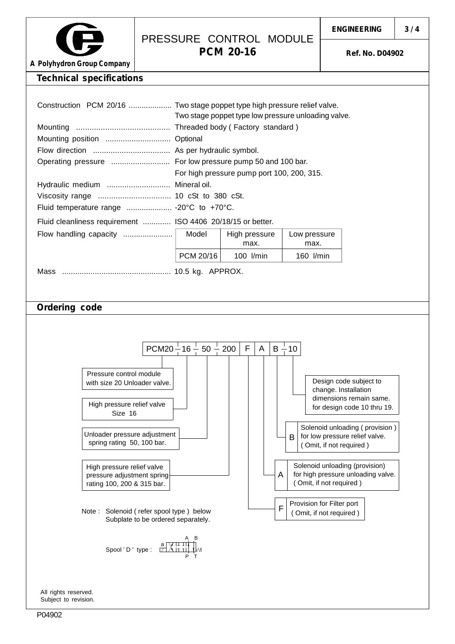

### PRESSURE CONTROL MODULE **PCM 20-16**

**Ref. No. D04902**

**A Polyhydron Group Company**

#### **Technical specifications**